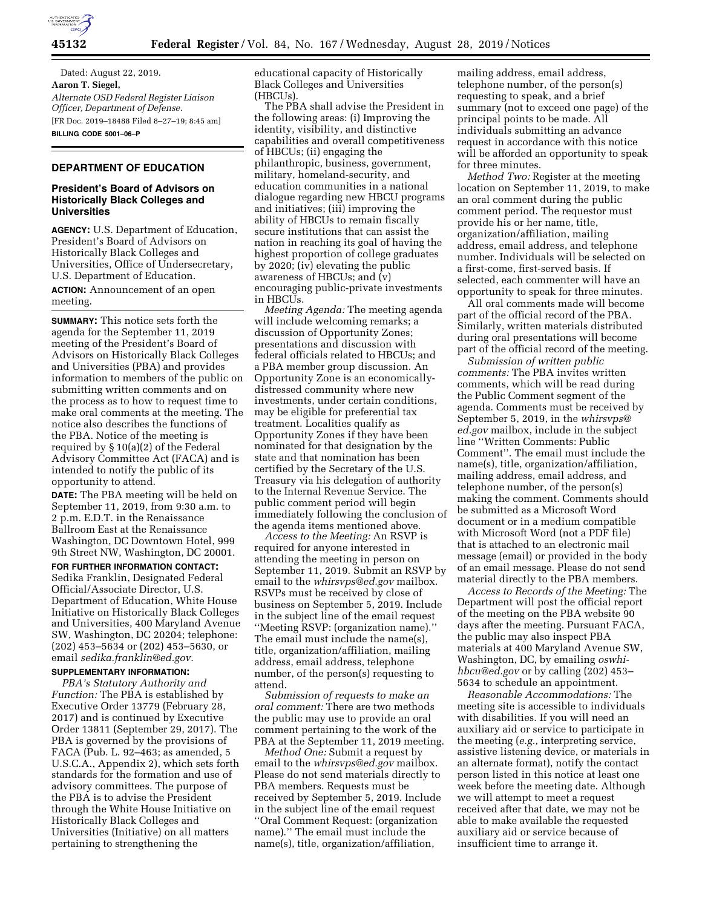

Dated: August 22, 2019. **Aaron T. Siegel,**  *Alternate OSD Federal Register Liaison Officer, Department of Defense.*  [FR Doc. 2019–18488 Filed 8–27–19; 8:45 am] **BILLING CODE 5001–06–P** 

## **DEPARTMENT OF EDUCATION**

### **President's Board of Advisors on Historically Black Colleges and Universities**

**AGENCY:** U.S. Department of Education, President's Board of Advisors on Historically Black Colleges and Universities, Office of Undersecretary, U.S. Department of Education.

**ACTION:** Announcement of an open meeting.

**SUMMARY:** This notice sets forth the agenda for the September 11, 2019 meeting of the President's Board of Advisors on Historically Black Colleges and Universities (PBA) and provides information to members of the public on submitting written comments and on the process as to how to request time to make oral comments at the meeting. The notice also describes the functions of the PBA. Notice of the meeting is required by § 10(a)(2) of the Federal Advisory Committee Act (FACA) and is intended to notify the public of its opportunity to attend.

**DATE:** The PBA meeting will be held on September 11, 2019, from 9:30 a.m. to 2 p.m. E.D.T. in the Renaissance Ballroom East at the Renaissance Washington, DC Downtown Hotel, 999 9th Street NW, Washington, DC 20001.

### **FOR FURTHER INFORMATION CONTACT:**

Sedika Franklin, Designated Federal Official/Associate Director, U.S. Department of Education, White House Initiative on Historically Black Colleges and Universities, 400 Maryland Avenue SW, Washington, DC 20204; telephone: (202) 453–5634 or (202) 453–5630, or email *[sedika.franklin@ed.gov.](mailto:sedika.franklin@ed.gov)* 

### **SUPPLEMENTARY INFORMATION:**

*PBA's Statutory Authority and Function:* The PBA is established by Executive Order 13779 (February 28, 2017) and is continued by Executive Order 13811 (September 29, 2017). The PBA is governed by the provisions of FACA (Pub. L. 92–463; as amended, 5 U.S.C.A., Appendix 2), which sets forth standards for the formation and use of advisory committees. The purpose of the PBA is to advise the President through the White House Initiative on Historically Black Colleges and Universities (Initiative) on all matters pertaining to strengthening the

educational capacity of Historically Black Colleges and Universities (HBCUs).

The PBA shall advise the President in the following areas: (i) Improving the identity, visibility, and distinctive capabilities and overall competitiveness of HBCUs; (ii) engaging the philanthropic, business, government, military, homeland-security, and education communities in a national dialogue regarding new HBCU programs and initiatives; (iii) improving the ability of HBCUs to remain fiscally secure institutions that can assist the nation in reaching its goal of having the highest proportion of college graduates by 2020; (iv) elevating the public awareness of HBCUs; and (v) encouraging public-private investments in HBCUs.

*Meeting Agenda:* The meeting agenda will include welcoming remarks; a discussion of Opportunity Zones; presentations and discussion with federal officials related to HBCUs; and a PBA member group discussion. An Opportunity Zone is an economicallydistressed community where new investments, under certain conditions, may be eligible for preferential tax treatment. Localities qualify as Opportunity Zones if they have been nominated for that designation by the state and that nomination has been certified by the Secretary of the U.S. Treasury via his delegation of authority to the Internal Revenue Service. The public comment period will begin immediately following the conclusion of the agenda items mentioned above.

*Access to the Meeting:* An RSVP is required for anyone interested in attending the meeting in person on September 11, 2019. Submit an RSVP by email to the *[whirsvps@ed.gov](mailto:whirsvps@ed.gov)* mailbox. RSVPs must be received by close of business on September 5, 2019. Include in the subject line of the email request ''Meeting RSVP: (organization name).'' The email must include the name(s), title, organization/affiliation, mailing address, email address, telephone number, of the person(s) requesting to attend.

*Submission of requests to make an oral comment:* There are two methods the public may use to provide an oral comment pertaining to the work of the PBA at the September 11, 2019 meeting.

*Method One:* Submit a request by email to the *[whirsvps@ed.gov](mailto:whirsvps@ed.gov)* mailbox. Please do not send materials directly to PBA members. Requests must be received by September 5, 2019. Include in the subject line of the email request ''Oral Comment Request: (organization name).'' The email must include the name(s), title, organization/affiliation,

mailing address, email address, telephone number, of the person(s) requesting to speak, and a brief summary (not to exceed one page) of the principal points to be made. All individuals submitting an advance request in accordance with this notice will be afforded an opportunity to speak for three minutes.

*Method Two:* Register at the meeting location on September 11, 2019, to make an oral comment during the public comment period. The requestor must provide his or her name, title, organization/affiliation, mailing address, email address, and telephone number. Individuals will be selected on a first-come, first-served basis. If selected, each commenter will have an opportunity to speak for three minutes.

All oral comments made will become part of the official record of the PBA. Similarly, written materials distributed during oral presentations will become part of the official record of the meeting.

*Submission of written public comments:* The PBA invites written comments, which will be read during the Public Comment segment of the agenda. Comments must be received by September 5, 2019, in the *[whirsvps@](mailto:whirsvps@ed.gov) [ed.gov](mailto:whirsvps@ed.gov)* mailbox, include in the subject line ''Written Comments: Public Comment''. The email must include the name(s), title, organization/affiliation, mailing address, email address, and telephone number, of the person(s) making the comment. Comments should be submitted as a Microsoft Word document or in a medium compatible with Microsoft Word (not a PDF file) that is attached to an electronic mail message (email) or provided in the body of an email message. Please do not send material directly to the PBA members.

*Access to Records of the Meeting:* The Department will post the official report of the meeting on the PBA website 90 days after the meeting. Pursuant FACA, the public may also inspect PBA materials at 400 Maryland Avenue SW, Washington, DC, by emailing *[oswhi](mailto:oswhi-hbcu@ed.gov)[hbcu@ed.gov](mailto:oswhi-hbcu@ed.gov)* or by calling (202) 453– 5634 to schedule an appointment.

*Reasonable Accommodations:* The meeting site is accessible to individuals with disabilities. If you will need an auxiliary aid or service to participate in the meeting (*e.g.,* interpreting service, assistive listening device, or materials in an alternate format), notify the contact person listed in this notice at least one week before the meeting date. Although we will attempt to meet a request received after that date, we may not be able to make available the requested auxiliary aid or service because of insufficient time to arrange it.